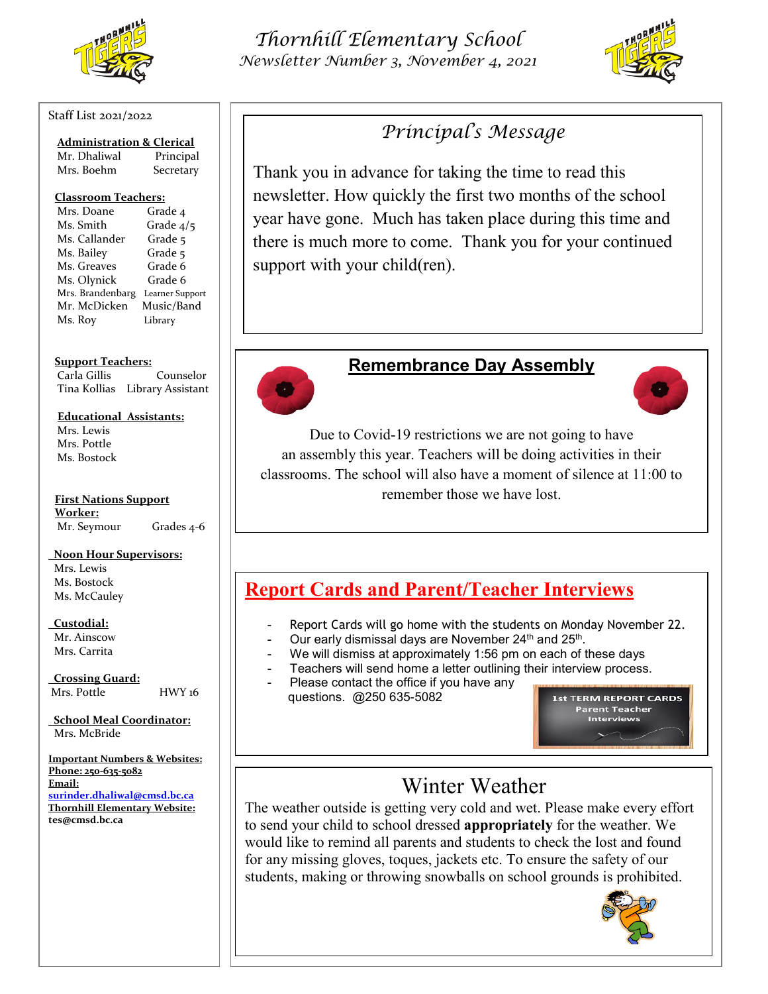

#### Staff List 2021/2022

| <b>Administration &amp; Clerical</b> |           |
|--------------------------------------|-----------|
| Mr. Dhaliwal                         | Principal |

Mrs. Boehm Secretary

#### **Classroom Teachers:**

| Mrs. Doane       | Grade 4         |
|------------------|-----------------|
| Ms. Smith        | Grade 4/5       |
| Ms. Callander    | Grade 5         |
| Ms. Bailey       | Grade 5         |
| Ms. Greaves      | Grade 6         |
| Ms. Olynick      | Grade 6         |
| Mrs. Brandenbarg | Learner Support |
| Mr. McDicken     | Music/Band      |
| Ms. Roy          | Library         |

**Support Teachers:**

Carla Gillis Counselor Tina Kollias Library Assistant

### **Educational Assistants:**

Mrs. Lewis Mrs. Pottle Ms. Bostock

**First Nations Support Worker:** Mr. Seymour Grades 4-6

### **Noon Hour Supervisors:**

 Mrs. Lewis Ms. Bostock Ms. McCauley

### **Custodial:**

 Mr. Ainscow Mrs. Carrita

 **Crossing Guard:**

Mrs. Pottle HWY 16

 **School Meal Coordinator:** Mrs. McBride

**Important Numbers & Websites: Phone: 250-635-5082 Email: [surinder.dhaliwal@cmsd.bc.ca](mailto:surinder.dhaliwal@cmsd.bc.ca) Thornhill Elementary Website: tes@cmsd.bc.ca**

## *Thornhill Elementary School Newsletter Number 3, November 4, 2021*



## *Principal's Message*

Thank you in advance for taking the time to read this newsletter. How quickly the first two months of the school year have gone. Much has taken place during this time and there is much more to come. Thank you for your continued support with your child(ren).



### **Remembrance Day Assembly**



Due to Covid-19 restrictions we are not going to have an assembly this year. Teachers will be doing activities in their classrooms. The school will also have a moment of silence at 11:00 to remember those we have lost.

## **Report Cards and Parent/Teacher Interviews**

- Report Cards will go home with the students on Monday November 22.
- Our early dismissal days are November 24<sup>th</sup> and 25<sup>th</sup>.
- We will dismiss at approximately 1:56 pm on each of these days
- Teachers will send home a letter outlining their interview process.
- Please contact the office if you have any questions. @250 635-5082

st TERM REPORT CARDS **Parent Teacher** Interviews

# Winter Weather

The weather outside is getting very cold and wet. Please make every effort to send your child to school dressed **appropriately** for the weather. We would like to remind all parents and students to check the lost and found for any missing gloves, toques, jackets etc. To ensure the safety of our students, making or throwing snowballs on school grounds is prohibited.